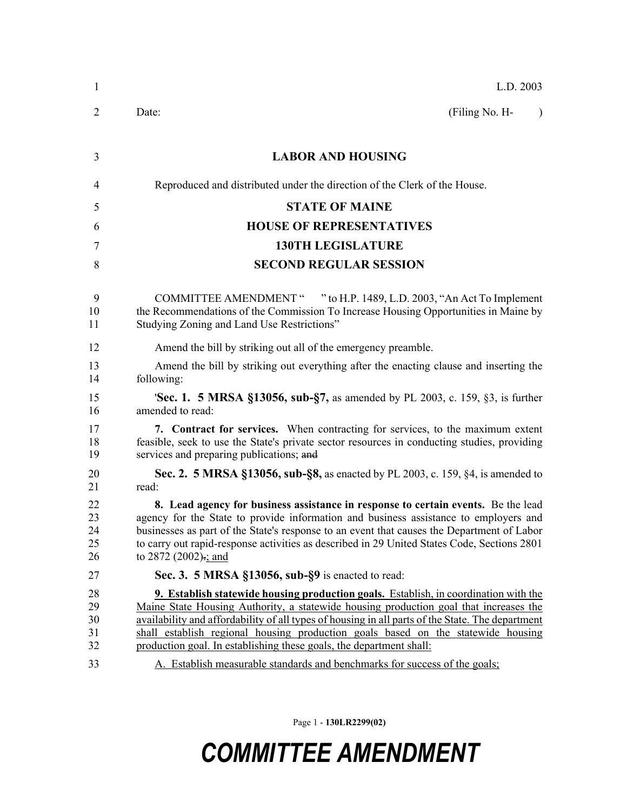| $\mathbf{1}$               | L.D. 2003                                                                                                                                                                                                                                                                                                                                                                                                                                           |
|----------------------------|-----------------------------------------------------------------------------------------------------------------------------------------------------------------------------------------------------------------------------------------------------------------------------------------------------------------------------------------------------------------------------------------------------------------------------------------------------|
| $\overline{2}$             | Date:<br>(Filing No. H-<br>$\lambda$                                                                                                                                                                                                                                                                                                                                                                                                                |
| 3                          | <b>LABOR AND HOUSING</b>                                                                                                                                                                                                                                                                                                                                                                                                                            |
| 4                          | Reproduced and distributed under the direction of the Clerk of the House.                                                                                                                                                                                                                                                                                                                                                                           |
| 5                          | <b>STATE OF MAINE</b>                                                                                                                                                                                                                                                                                                                                                                                                                               |
| 6                          | <b>HOUSE OF REPRESENTATIVES</b>                                                                                                                                                                                                                                                                                                                                                                                                                     |
| 7                          | <b>130TH LEGISLATURE</b>                                                                                                                                                                                                                                                                                                                                                                                                                            |
| 8                          | <b>SECOND REGULAR SESSION</b>                                                                                                                                                                                                                                                                                                                                                                                                                       |
| 9<br>10<br>11              | COMMITTEE AMENDMENT " "to H.P. 1489, L.D. 2003, "An Act To Implement<br>the Recommendations of the Commission To Increase Housing Opportunities in Maine by<br>Studying Zoning and Land Use Restrictions"                                                                                                                                                                                                                                           |
| 12                         | Amend the bill by striking out all of the emergency preamble.                                                                                                                                                                                                                                                                                                                                                                                       |
| 13<br>14                   | Amend the bill by striking out everything after the enacting clause and inserting the<br>following:                                                                                                                                                                                                                                                                                                                                                 |
| 15<br>16                   | <b>Sec. 1. 5 MRSA §13056, sub-§7, as amended by PL 2003, c. 159, §3, is further</b><br>amended to read:                                                                                                                                                                                                                                                                                                                                             |
| 17<br>18<br>19             | 7. Contract for services. When contracting for services, to the maximum extent<br>feasible, seek to use the State's private sector resources in conducting studies, providing<br>services and preparing publications; and                                                                                                                                                                                                                           |
| 20<br>21                   | Sec. 2. 5 MRSA §13056, sub-§8, as enacted by PL 2003, c. 159, §4, is amended to<br>read:                                                                                                                                                                                                                                                                                                                                                            |
| 22<br>23<br>24<br>25<br>26 | 8. Lead agency for business assistance in response to certain events. Be the lead<br>agency for the State to provide information and business assistance to employers and<br>businesses as part of the State's response to an event that causes the Department of Labor<br>to carry out rapid-response activities as described in 29 United States Code, Sections 2801<br>to 2872 (2002)-; and                                                      |
| 27                         | Sec. 3. 5 MRSA §13056, sub-§9 is enacted to read:                                                                                                                                                                                                                                                                                                                                                                                                   |
| 28<br>29<br>30<br>31<br>32 | <b>9. Establish statewide housing production goals.</b> Establish, in coordination with the<br>Maine State Housing Authority, a statewide housing production goal that increases the<br>availability and affordability of all types of housing in all parts of the State. The department<br>shall establish regional housing production goals based on the statewide housing<br>production goal. In establishing these goals, the department shall: |
| 33                         | A. Establish measurable standards and benchmarks for success of the goals;                                                                                                                                                                                                                                                                                                                                                                          |

Page 1 - **130LR2299(02)**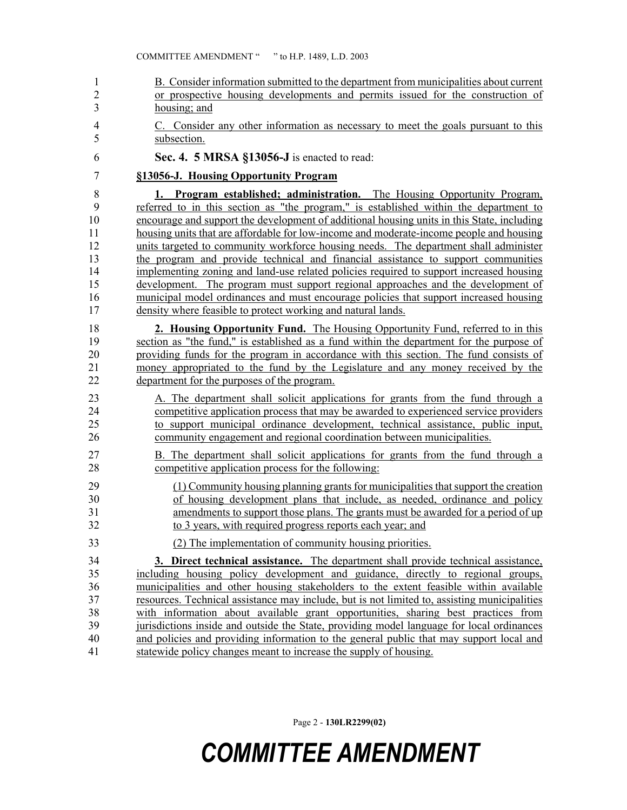| $\mathbf{1}$   | B. Consider information submitted to the department from municipalities about current        |
|----------------|----------------------------------------------------------------------------------------------|
| $\overline{2}$ | or prospective housing developments and permits issued for the construction of               |
| 3              | housing; and                                                                                 |
| $\overline{4}$ | C. Consider any other information as necessary to meet the goals pursuant to this            |
| 5              | subsection.                                                                                  |
| 6              | Sec. 4. 5 MRSA §13056-J is enacted to read:                                                  |
| $\overline{7}$ | §13056-J. Housing Opportunity Program                                                        |
| 8              | 1. Program established; administration. The Housing Opportunity Program,                     |
| 9              | referred to in this section as "the program," is established within the department to        |
| 10             | encourage and support the development of additional housing units in this State, including   |
| 11             | housing units that are affordable for low-income and moderate-income people and housing      |
| 12             | units targeted to community workforce housing needs. The department shall administer         |
| 13             | the program and provide technical and financial assistance to support communities            |
| 14             | implementing zoning and land-use related policies required to support increased housing      |
| 15             | development. The program must support regional approaches and the development of             |
| 16             | municipal model ordinances and must encourage policies that support increased housing        |
| 17             | density where feasible to protect working and natural lands.                                 |
| 18             | 2. Housing Opportunity Fund. The Housing Opportunity Fund, referred to in this               |
| 19             | section as "the fund," is established as a fund within the department for the purpose of     |
| 20             | providing funds for the program in accordance with this section. The fund consists of        |
| 21             | money appropriated to the fund by the Legislature and any money received by the              |
| 22             | department for the purposes of the program.                                                  |
| 23             | A. The department shall solicit applications for grants from the fund through a              |
| 24             | competitive application process that may be awarded to experienced service providers         |
| 25             | to support municipal ordinance development, technical assistance, public input,              |
| 26             | community engagement and regional coordination between municipalities.                       |
| 27             | B. The department shall solicit applications for grants from the fund through a              |
| 28             | competitive application process for the following:                                           |
| 29             | (1) Community housing planning grants for municipalities that support the creation           |
| 30             | of housing development plans that include, as needed, ordinance and policy                   |
| 31             | amendments to support those plans. The grants must be awarded for a period of up             |
| 32             | to 3 years, with required progress reports each year; and                                    |
| 33             | (2) The implementation of community housing priorities.                                      |
| 34             | 3. Direct technical assistance. The department shall provide technical assistance,           |
| 35             | including housing policy development and guidance, directly to regional groups,              |
| 36             | municipalities and other housing stakeholders to the extent feasible within available        |
| 37             | resources. Technical assistance may include, but is not limited to, assisting municipalities |
| 38             | with information about available grant opportunities, sharing best practices from            |
| 39             | jurisdictions inside and outside the State, providing model language for local ordinances    |
| 40             | and policies and providing information to the general public that may support local and      |
| 41             | statewide policy changes meant to increase the supply of housing.                            |

Page 2 - **130LR2299(02)**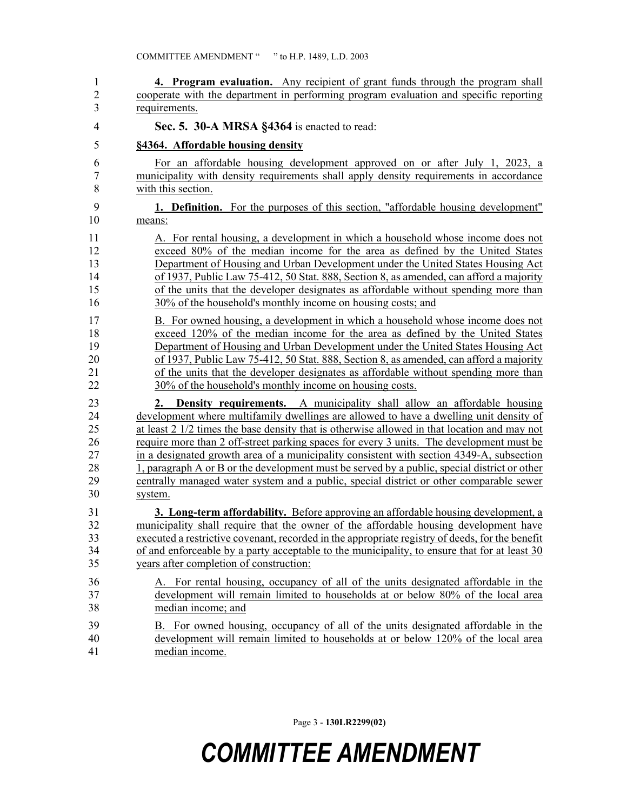| 1              | 4. Program evaluation. Any recipient of grant funds through the program shall                          |
|----------------|--------------------------------------------------------------------------------------------------------|
| $\overline{2}$ | cooperate with the department in performing program evaluation and specific reporting                  |
| 3              | requirements.                                                                                          |
| $\overline{4}$ | Sec. 5. 30-A MRSA §4364 is enacted to read:                                                            |
| 5              | §4364. Affordable housing density                                                                      |
| 6              | For an affordable housing development approved on or after July 1, 2023, a                             |
| $\overline{7}$ | municipality with density requirements shall apply density requirements in accordance                  |
| 8              | with this section.                                                                                     |
| 9              | <b>1. Definition.</b> For the purposes of this section, "affordable housing development"               |
| 10             | means:                                                                                                 |
| 11             | A. For rental housing, a development in which a household whose income does not                        |
| 12             | exceed 80% of the median income for the area as defined by the United States                           |
| 13             | Department of Housing and Urban Development under the United States Housing Act                        |
| 14             | of 1937, Public Law 75-412, 50 Stat. 888, Section 8, as amended, can afford a majority                 |
| 15             | of the units that the developer designates as affordable without spending more than                    |
| 16             | 30% of the household's monthly income on housing costs; and                                            |
| 17             | B. For owned housing, a development in which a household whose income does not                         |
| 18             | exceed 120% of the median income for the area as defined by the United States                          |
| 19             | Department of Housing and Urban Development under the United States Housing Act                        |
| 20             | of 1937, Public Law 75-412, 50 Stat. 888, Section 8, as amended, can afford a majority                 |
| 21             | of the units that the developer designates as affordable without spending more than                    |
| 22             | 30% of the household's monthly income on housing costs.                                                |
| 23             | <b>Density requirements.</b> A municipality shall allow an affordable housing                          |
| 24             | development where multifamily dwellings are allowed to have a dwelling unit density of                 |
| 25             | at least $2 \frac{1}{2}$ times the base density that is otherwise allowed in that location and may not |
| 26             | require more than 2 off-street parking spaces for every 3 units. The development must be               |
| 27             | in a designated growth area of a municipality consistent with section 4349-A, subsection               |
| 28             | 1, paragraph A or B or the development must be served by a public, special district or other           |
| 29             | centrally managed water system and a public, special district or other comparable sewer                |
| 30             | system.                                                                                                |
| 31             | <b>3. Long-term affordability.</b> Before approving an affordable housing development, a               |
| 32             | municipality shall require that the owner of the affordable housing development have                   |
| 33             | executed a restrictive covenant, recorded in the appropriate registry of deeds, for the benefit        |
| 34             | of and enforceable by a party acceptable to the municipality, to ensure that for at least 30           |
| 35             | years after completion of construction:                                                                |
| 36             | A. For rental housing, occupancy of all of the units designated affordable in the                      |
| 37             | development will remain limited to households at or below 80% of the local area                        |
| 38             | median income; and                                                                                     |
| 39             | B. For owned housing, occupancy of all of the units designated affordable in the                       |
| 40             | development will remain limited to households at or below 120% of the local area                       |
| 41             | median income.                                                                                         |

Page 3 - **130LR2299(02)**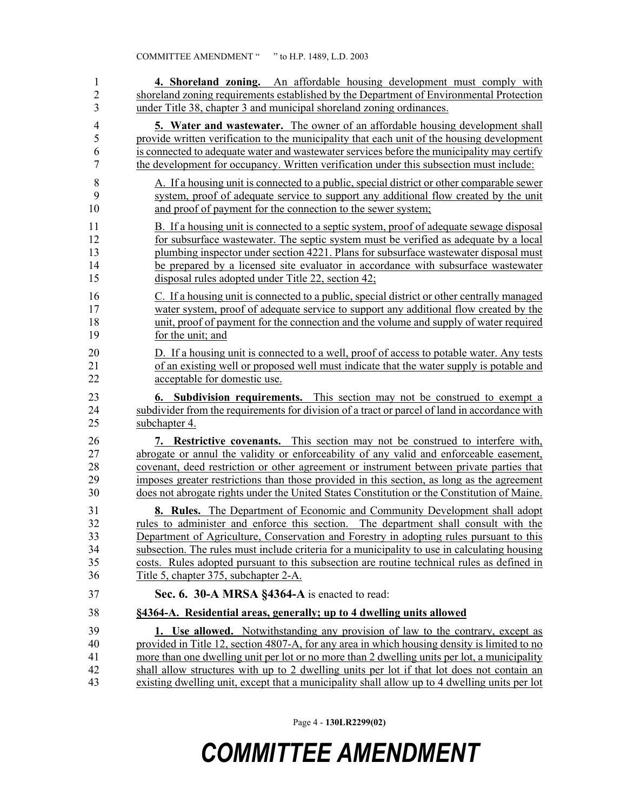| 1              | 4. Shoreland zoning. An affordable housing development must comply with                       |
|----------------|-----------------------------------------------------------------------------------------------|
| $\overline{2}$ | shoreland zoning requirements established by the Department of Environmental Protection       |
| 3              | under Title 38, chapter 3 and municipal shoreland zoning ordinances.                          |
| $\overline{4}$ | <b>5. Water and wastewater.</b> The owner of an affordable housing development shall          |
| 5              | provide written verification to the municipality that each unit of the housing development    |
| 6              | is connected to adequate water and wastewater services before the municipality may certify    |
| 7              | the development for occupancy. Written verification under this subsection must include:       |
| $\,$ 8 $\,$    | A. If a housing unit is connected to a public, special district or other comparable sewer     |
| 9              | system, proof of adequate service to support any additional flow created by the unit          |
| 10             | and proof of payment for the connection to the sewer system;                                  |
| 11             | B. If a housing unit is connected to a septic system, proof of adequate sewage disposal       |
| 12             | for subsurface wastewater. The septic system must be verified as adequate by a local          |
| 13             | plumbing inspector under section 4221. Plans for subsurface wastewater disposal must          |
| 14             | be prepared by a licensed site evaluator in accordance with subsurface wastewater             |
| 15             | disposal rules adopted under Title 22, section 42;                                            |
| 16             | C. If a housing unit is connected to a public, special district or other centrally managed    |
| 17             | water system, proof of adequate service to support any additional flow created by the         |
| 18             | unit, proof of payment for the connection and the volume and supply of water required         |
| 19             | for the unit; and                                                                             |
| 20             | D. If a housing unit is connected to a well, proof of access to potable water. Any tests      |
| 21             | of an existing well or proposed well must indicate that the water supply is potable and       |
| 22             | acceptable for domestic use.                                                                  |
| 23             | <b>6.</b> Subdivision requirements. This section may not be construed to exempt a             |
| 24             | subdivider from the requirements for division of a tract or parcel of land in accordance with |
| 25             | subchapter 4.                                                                                 |
| 26             | 7. Restrictive covenants. This section may not be construed to interfere with,                |
| 27             | abrogate or annul the validity or enforceability of any valid and enforceable easement,       |
| 28             | covenant, deed restriction or other agreement or instrument between private parties that      |
| 29             | imposes greater restrictions than those provided in this section, as long as the agreement    |
| 30             | does not abrogate rights under the United States Constitution or the Constitution of Maine.   |
| 31             | <b>8. Rules.</b> The Department of Economic and Community Development shall adopt             |
| 32             | rules to administer and enforce this section. The department shall consult with the           |
| 33             | Department of Agriculture, Conservation and Forestry in adopting rules pursuant to this       |
| 34             | subsection. The rules must include criteria for a municipality to use in calculating housing  |
| 35             | costs. Rules adopted pursuant to this subsection are routine technical rules as defined in    |
| 36             | Title 5, chapter 375, subchapter 2-A.                                                         |
| 37             | Sec. 6. 30-A MRSA §4364-A is enacted to read:                                                 |
| 38             | §4364-A. Residential areas, generally; up to 4 dwelling units allowed                         |
| 39             | 1. Use allowed. Notwithstanding any provision of law to the contrary, except as               |
| 40             | provided in Title 12, section 4807-A, for any area in which housing density is limited to no  |
| 41             | more than one dwelling unit per lot or no more than 2 dwelling units per lot, a municipality  |
| 42             | shall allow structures with up to 2 dwelling units per lot if that lot does not contain an    |
| 43             | existing dwelling unit, except that a municipality shall allow up to 4 dwelling units per lot |

Page 4 - **130LR2299(02)**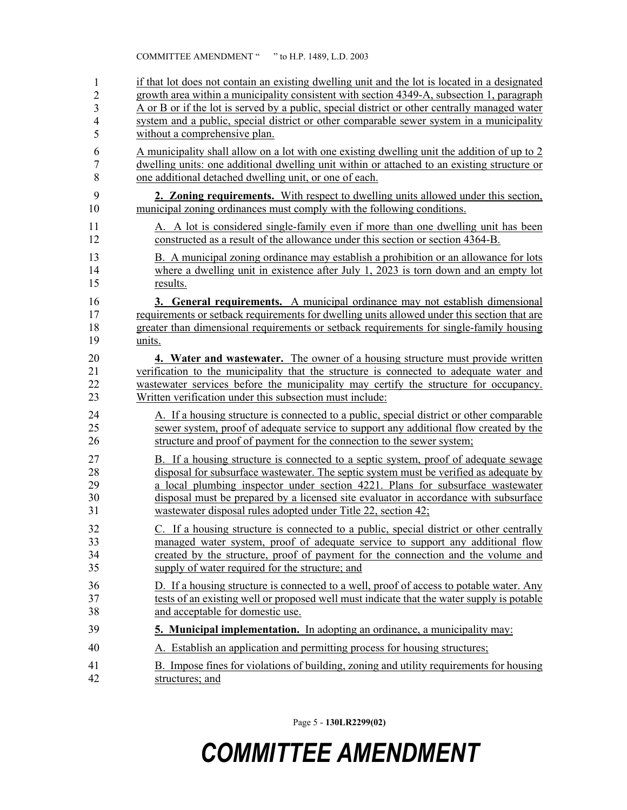| 1              | if that lot does not contain an existing dwelling unit and the lot is located in a designated |
|----------------|-----------------------------------------------------------------------------------------------|
| $\overline{c}$ | growth area within a municipality consistent with section 4349-A, subsection 1, paragraph     |
| 3              | A or B or if the lot is served by a public, special district or other centrally managed water |
| $\overline{4}$ | system and a public, special district or other comparable sewer system in a municipality      |
| 5              | without a comprehensive plan.                                                                 |
| 6              | A municipality shall allow on a lot with one existing dwelling unit the addition of up to 2   |
| 7              | dwelling units: one additional dwelling unit within or attached to an existing structure or   |
| 8              | one additional detached dwelling unit, or one of each.                                        |
| 9              | 2. Zoning requirements. With respect to dwelling units allowed under this section,            |
| 10             | municipal zoning ordinances must comply with the following conditions.                        |
| 11             | A. A lot is considered single-family even if more than one dwelling unit has been             |
| 12             | constructed as a result of the allowance under this section or section 4364-B.                |
| 13             | B. A municipal zoning ordinance may establish a prohibition or an allowance for lots          |
| 14             | where a dwelling unit in existence after July 1, 2023 is torn down and an empty lot           |
| 15             | results.                                                                                      |
| 16             | 3. General requirements. A municipal ordinance may not establish dimensional                  |
| 17             | requirements or setback requirements for dwelling units allowed under this section that are   |
| 18             | greater than dimensional requirements or setback requirements for single-family housing       |
| 19             | units.                                                                                        |
| 20             | 4. Water and wastewater. The owner of a housing structure must provide written                |
| 21             | verification to the municipality that the structure is connected to adequate water and        |
| 22             | was tewater services before the municipality may certify the structure for occupancy.         |
| 23             | Written verification under this subsection must include:                                      |
| 24             | A. If a housing structure is connected to a public, special district or other comparable      |
| 25             | sewer system, proof of adequate service to support any additional flow created by the         |
| 26             | structure and proof of payment for the connection to the sewer system;                        |
| 27             | B. If a housing structure is connected to a septic system, proof of adequate sewage           |
| 28             | disposal for subsurface wastewater. The septic system must be verified as adequate by         |
| 29             | a local plumbing inspector under section 4221. Plans for subsurface wastewater                |
| 30             | disposal must be prepared by a licensed site evaluator in accordance with subsurface          |
| 31             | wastewater disposal rules adopted under Title 22, section 42;                                 |
| 32             | C. If a housing structure is connected to a public, special district or other centrally       |
| 33             | managed water system, proof of adequate service to support any additional flow                |
| 34             | created by the structure, proof of payment for the connection and the volume and              |
| 35             | supply of water required for the structure; and                                               |
| 36             | D. If a housing structure is connected to a well, proof of access to potable water. Any       |
| 37             | tests of an existing well or proposed well must indicate that the water supply is potable     |
| 38             | and acceptable for domestic use.                                                              |
| 39             | 5. Municipal implementation. In adopting an ordinance, a municipality may:                    |
| 40             | A. Establish an application and permitting process for housing structures;                    |
| 41             | B. Impose fines for violations of building, zoning and utility requirements for housing       |
| 42             | structures; and                                                                               |

Page 5 - **130LR2299(02)**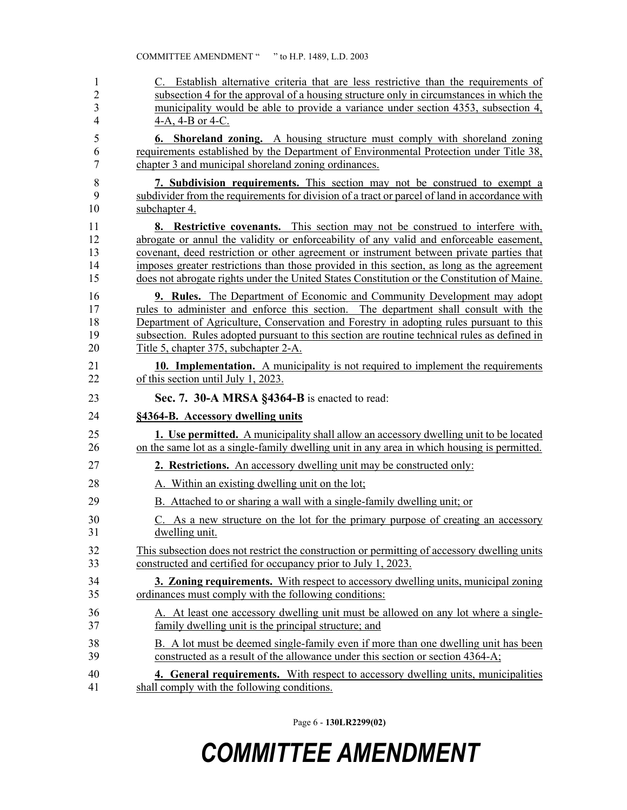| 1              | C. Establish alternative criteria that are less restrictive than the requirements of          |  |  |  |  |  |
|----------------|-----------------------------------------------------------------------------------------------|--|--|--|--|--|
| $\overline{2}$ | subsection 4 for the approval of a housing structure only in circumstances in which the       |  |  |  |  |  |
| 3              | municipality would be able to provide a variance under section 4353, subsection 4,            |  |  |  |  |  |
| 4              | 4-A, 4-B or 4-C.                                                                              |  |  |  |  |  |
| 5              | <b>6. Shoreland zoning.</b> A housing structure must comply with shoreland zoning             |  |  |  |  |  |
| 6              | requirements established by the Department of Environmental Protection under Title 38,        |  |  |  |  |  |
| 7              | chapter 3 and municipal shoreland zoning ordinances.                                          |  |  |  |  |  |
| 8              | 7. Subdivision requirements. This section may not be construed to exempt a                    |  |  |  |  |  |
| 9              | subdivider from the requirements for division of a tract or parcel of land in accordance with |  |  |  |  |  |
| 10             | subchapter 4.                                                                                 |  |  |  |  |  |
| 11             | <b>8.</b> Restrictive covenants. This section may not be construed to interfere with,         |  |  |  |  |  |
| 12             | abrogate or annul the validity or enforceability of any valid and enforceable easement,       |  |  |  |  |  |
| 13             | covenant, deed restriction or other agreement or instrument between private parties that      |  |  |  |  |  |
| 14             | imposes greater restrictions than those provided in this section, as long as the agreement    |  |  |  |  |  |
| 15             | does not abrogate rights under the United States Constitution or the Constitution of Maine.   |  |  |  |  |  |
| 16             | <b>9. Rules.</b> The Department of Economic and Community Development may adopt               |  |  |  |  |  |
| 17             | rules to administer and enforce this section. The department shall consult with the           |  |  |  |  |  |
| 18             | Department of Agriculture, Conservation and Forestry in adopting rules pursuant to this       |  |  |  |  |  |
| 19             | subsection. Rules adopted pursuant to this section are routine technical rules as defined in  |  |  |  |  |  |
| 20             | Title 5, chapter 375, subchapter 2-A.                                                         |  |  |  |  |  |
| 21             | 10. Implementation. A municipality is not required to implement the requirements              |  |  |  |  |  |
| 22             | of this section until July 1, 2023.                                                           |  |  |  |  |  |
|                |                                                                                               |  |  |  |  |  |
| 23             | Sec. 7. 30-A MRSA §4364-B is enacted to read:                                                 |  |  |  |  |  |
| 24             | §4364-B. Accessory dwelling units                                                             |  |  |  |  |  |
| 25             | <b>1.</b> Use permitted. A municipality shall allow an accessory dwelling unit to be located  |  |  |  |  |  |
| 26             | on the same lot as a single-family dwelling unit in any area in which housing is permitted.   |  |  |  |  |  |
| 27             | 2. Restrictions. An accessory dwelling unit may be constructed only:                          |  |  |  |  |  |
| 28             | A. Within an existing dwelling unit on the lot;                                               |  |  |  |  |  |
| 29             | B. Attached to or sharing a wall with a single-family dwelling unit; or                       |  |  |  |  |  |
| 30             | C. As a new structure on the lot for the primary purpose of creating an accessory             |  |  |  |  |  |
| 31             | dwelling unit.                                                                                |  |  |  |  |  |
| 32             | This subsection does not restrict the construction or permitting of accessory dwelling units  |  |  |  |  |  |
| 33             | constructed and certified for occupancy prior to July 1, 2023.                                |  |  |  |  |  |
| 34             | <b>3. Zoning requirements.</b> With respect to accessory dwelling units, municipal zoning     |  |  |  |  |  |
| 35             | ordinances must comply with the following conditions:                                         |  |  |  |  |  |
| 36             | A. At least one accessory dwelling unit must be allowed on any lot where a single-            |  |  |  |  |  |
| 37             | family dwelling unit is the principal structure; and                                          |  |  |  |  |  |
| 38             | B. A lot must be deemed single-family even if more than one dwelling unit has been            |  |  |  |  |  |
| 39             | constructed as a result of the allowance under this section or section 4364-A;                |  |  |  |  |  |

Page 6 - **130LR2299(02)**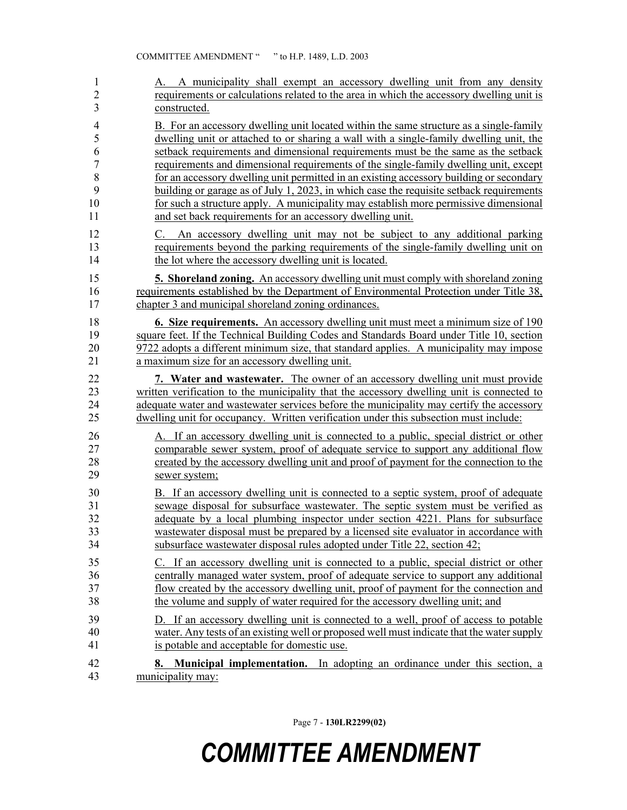| $\mathbf{1}$   | A. A municipality shall exempt an accessory dwelling unit from any density                          |  |  |  |  |
|----------------|-----------------------------------------------------------------------------------------------------|--|--|--|--|
| $\overline{2}$ | requirements or calculations related to the area in which the accessory dwelling unit is            |  |  |  |  |
| 3              | constructed.                                                                                        |  |  |  |  |
| 4              | B. For an accessory dwelling unit located within the same structure as a single-family              |  |  |  |  |
| 5              | dwelling unit or attached to or sharing a wall with a single-family dwelling unit, the              |  |  |  |  |
| 6              | setback requirements and dimensional requirements must be the same as the setback                   |  |  |  |  |
| 7              | requirements and dimensional requirements of the single-family dwelling unit, except                |  |  |  |  |
| 8              | for an accessory dwelling unit permitted in an existing accessory building or secondary             |  |  |  |  |
| 9              | building or garage as of July 1, 2023, in which case the requisite setback requirements             |  |  |  |  |
| 10             | for such a structure apply. A municipality may establish more permissive dimensional                |  |  |  |  |
| 11             | and set back requirements for an accessory dwelling unit.                                           |  |  |  |  |
| 12             | C. An accessory dwelling unit may not be subject to any additional parking                          |  |  |  |  |
| 13             | requirements beyond the parking requirements of the single-family dwelling unit on                  |  |  |  |  |
| 14             | the lot where the accessory dwelling unit is located.                                               |  |  |  |  |
| 15             | 5. Shoreland zoning. An accessory dwelling unit must comply with shoreland zoning                   |  |  |  |  |
| 16             | requirements established by the Department of Environmental Protection under Title 38,              |  |  |  |  |
| 17             | chapter 3 and municipal shoreland zoning ordinances.                                                |  |  |  |  |
| 18             | <b>6. Size requirements.</b> An accessory dwelling unit must meet a minimum size of 190             |  |  |  |  |
| 19             | square feet. If the Technical Building Codes and Standards Board under Title 10, section            |  |  |  |  |
| 20             | 9722 adopts a different minimum size, that standard applies. A municipality may impose              |  |  |  |  |
| 21             | a maximum size for an accessory dwelling unit.                                                      |  |  |  |  |
| 22             | 7. Water and wastewater. The owner of an accessory dwelling unit must provide                       |  |  |  |  |
| 23             | written verification to the municipality that the accessory dwelling unit is connected to           |  |  |  |  |
| 24             | adequate water and wastewater services before the municipality may certify the accessory            |  |  |  |  |
| 25             | dwelling unit for occupancy. Written verification under this subsection must include:               |  |  |  |  |
| 26             | A. If an accessory dwelling unit is connected to a public, special district or other                |  |  |  |  |
| 27             | comparable sewer system, proof of adequate service to support any additional flow                   |  |  |  |  |
| 28             | created by the accessory dwelling unit and proof of payment for the connection to the               |  |  |  |  |
| 29             | sewer system;                                                                                       |  |  |  |  |
| 30             | B. If an accessory dwelling unit is connected to a septic system, proof of adequate                 |  |  |  |  |
| 31             | sewage disposal for subsurface wastewater. The septic system must be verified as                    |  |  |  |  |
| 32             | adequate by a local plumbing inspector under section 4221. Plans for subsurface                     |  |  |  |  |
| 33             | wastewater disposal must be prepared by a licensed site evaluator in accordance with                |  |  |  |  |
| 34             | subsurface wastewater disposal rules adopted under Title 22, section 42;                            |  |  |  |  |
| 35             | C. If an accessory dwelling unit is connected to a public, special district or other                |  |  |  |  |
| 36             | centrally managed water system, proof of adequate service to support any additional                 |  |  |  |  |
| 37             | flow created by the accessory dwelling unit, proof of payment for the connection and                |  |  |  |  |
| 38             | the volume and supply of water required for the accessory dwelling unit; and                        |  |  |  |  |
| 39             | D. If an accessory dwelling unit is connected to a well, proof of access to potable                 |  |  |  |  |
| 40             | water. Any tests of an existing well or proposed well must indicate that the water supply           |  |  |  |  |
| 41             | is potable and acceptable for domestic use.                                                         |  |  |  |  |
| 42<br>43       | Municipal implementation. In adopting an ordinance under this section, a<br>8.<br>municipality may: |  |  |  |  |

Page 7 - **130LR2299(02)**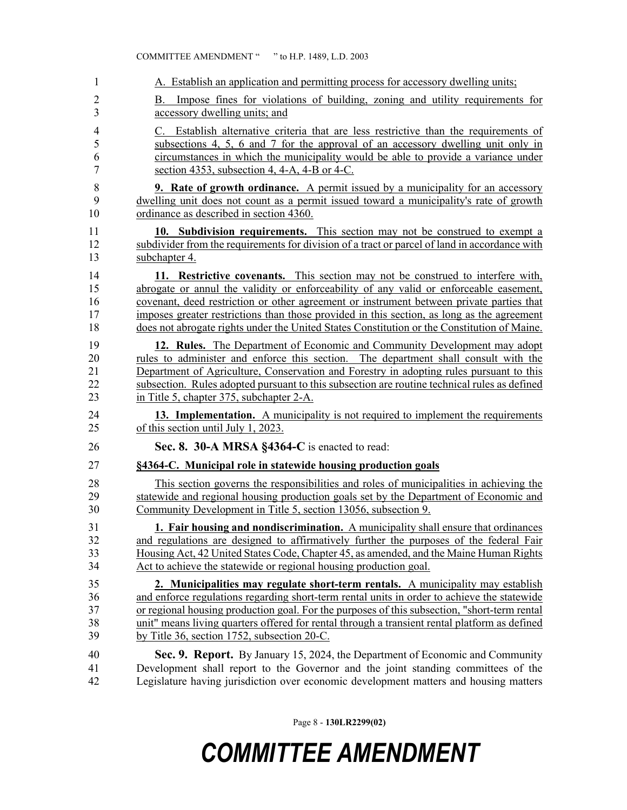|                     | COMMITTEE AMENDMENT " "to H.P. 1489, L.D. 2003                                                                      |  |  |  |
|---------------------|---------------------------------------------------------------------------------------------------------------------|--|--|--|
| 1                   | A. Establish an application and permitting process for accessory dwelling units;                                    |  |  |  |
| $\overline{2}$<br>3 | Impose fines for violations of building, zoning and utility requirements for<br>B.<br>accessory dwelling units; and |  |  |  |
| 4                   | C. Establish alternative criteria that are less restrictive than the requirements of                                |  |  |  |
| 5                   | subsections 4, 5, 6 and 7 for the approval of an accessory dwelling unit only in                                    |  |  |  |
| 6                   | circumstances in which the municipality would be able to provide a variance under                                   |  |  |  |
| 7                   | section 4353, subsection 4, 4-A, 4-B or 4-C.                                                                        |  |  |  |
| $\,$ $\,$           | <b>9. Rate of growth ordinance.</b> A permit issued by a municipality for an accessory                              |  |  |  |
| 9                   | dwelling unit does not count as a permit issued toward a municipality's rate of growth                              |  |  |  |
| 10                  | ordinance as described in section 4360.                                                                             |  |  |  |
| 11                  | 10. Subdivision requirements. This section may not be construed to exempt a                                         |  |  |  |
| 12                  | subdivider from the requirements for division of a tract or parcel of land in accordance with                       |  |  |  |
| 13                  | subchapter 4.                                                                                                       |  |  |  |
| 14                  | 11. Restrictive covenants. This section may not be construed to interfere with,                                     |  |  |  |
| 15                  | abrogate or annul the validity or enforceability of any valid or enforceable easement,                              |  |  |  |
| 16                  | covenant, deed restriction or other agreement or instrument between private parties that                            |  |  |  |
| 17                  | imposes greater restrictions than those provided in this section, as long as the agreement                          |  |  |  |
| 18                  | does not abrogate rights under the United States Constitution or the Constitution of Maine.                         |  |  |  |
| 19                  | 12. Rules. The Department of Economic and Community Development may adopt                                           |  |  |  |
| 20                  | rules to administer and enforce this section. The department shall consult with the                                 |  |  |  |
| 21                  | Department of Agriculture, Conservation and Forestry in adopting rules pursuant to this                             |  |  |  |
| 22                  | subsection. Rules adopted pursuant to this subsection are routine technical rules as defined                        |  |  |  |
| 23                  | in Title 5, chapter 375, subchapter 2-A.                                                                            |  |  |  |
| 24                  | 13. Implementation. A municipality is not required to implement the requirements                                    |  |  |  |
| 25                  | of this section until July 1, 2023.                                                                                 |  |  |  |
| 26                  | Sec. 8. 30-A MRSA §4364-C is enacted to read:                                                                       |  |  |  |
| 27                  | §4364-C. Municipal role in statewide housing production goals                                                       |  |  |  |
| 28                  | This section governs the responsibilities and roles of municipalities in achieving the                              |  |  |  |
| 29                  | statewide and regional housing production goals set by the Department of Economic and                               |  |  |  |
| 30                  | Community Development in Title 5, section 13056, subsection 9.                                                      |  |  |  |
| 31                  | 1. Fair housing and nondiscrimination. A municipality shall ensure that ordinances                                  |  |  |  |
| 32                  | and regulations are designed to affirmatively further the purposes of the federal Fair                              |  |  |  |
| 33                  | Housing Act, 42 United States Code, Chapter 45, as amended, and the Maine Human Rights                              |  |  |  |
| 34                  | Act to achieve the statewide or regional housing production goal.                                                   |  |  |  |
| 35                  | 2. Municipalities may regulate short-term rentals. A municipality may establish                                     |  |  |  |
| 36                  | and enforce regulations regarding short-term rental units in order to achieve the statewide                         |  |  |  |
| 37                  | or regional housing production goal. For the purposes of this subsection, "short-term rental                        |  |  |  |
| 38                  | unit" means living quarters offered for rental through a transient rental platform as defined                       |  |  |  |
| 39                  | by Title 36, section 1752, subsection 20-C.                                                                         |  |  |  |
| 40                  | Sec. 9. Report. By January 15, 2024, the Department of Economic and Community                                       |  |  |  |
| 41                  | Development shall report to the Governor and the joint standing committees of the                                   |  |  |  |
| 42                  | Legislature having jurisdiction over economic development matters and housing matters                               |  |  |  |

Page 8 - **130LR2299(02)**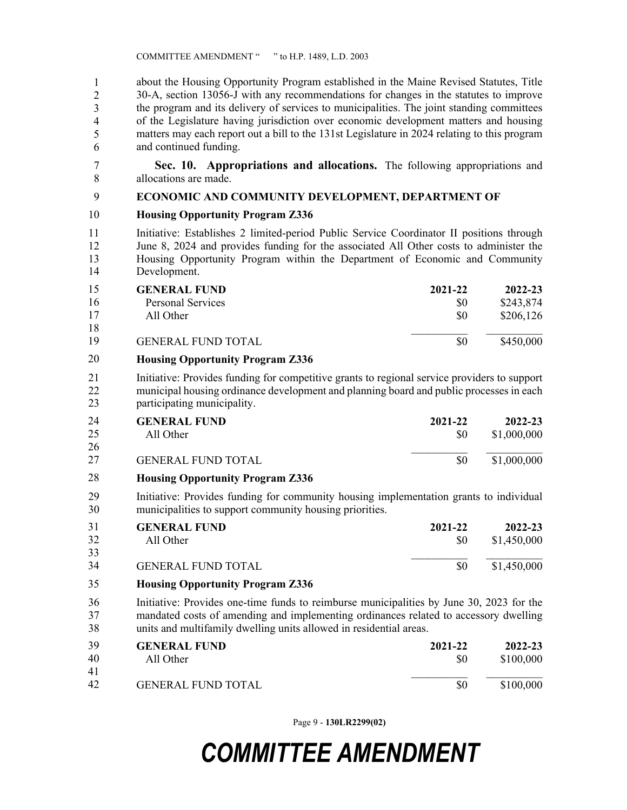about the Housing Opportunity Program established in the Maine Revised Statutes, Title 44 30-A, section 13056-J with any recommendations for changes in the statutes to improve the program and its delivery of services to municipalities. The joint standing committees of the Legislature having jurisdiction over economic development matters and housing matters may each report out a bill to the 131st Legislature in 2024 relating to this program and continued funding. 1 2 3 4 5 6

7 **Sec. 10. Appropriations and allocations.** The following appropriations and 8 allocations are made.

### 9 **ECONOMIC AND COMMUNITY DEVELOPMENT, DEPARTMENT OF**

### 10 **Housing Opportunity Program Z336**

11 Initiative: Establishes 2 limited-period Public Service Coordinator II positions through 12 June 8, 2024 and provides funding for the associated All Other costs to administer the 13 Housing Opportunity Program within the Department of Economic and Community 14 Development.

| 15     | <b>GENERAL FUND</b>            | 2021-22 | 2022-23   |
|--------|--------------------------------|---------|-----------|
| 16     | Personal Services              | SO.     | \$243,874 |
| 17     | All Other                      | \$0     | \$206,126 |
| 18     |                                |         |           |
| 19     | <b>GENERAL FUND TOTAL</b>      | \$0     | \$450,000 |
| $\sim$ | $\sim$ $\sim$ $\sim$<br>$\sim$ |         |           |

### 15 **Housing Opportunity Program Z336** 20

21 Initiative: Provides funding for competitive grants to regional service providers to support 22 municipal housing ordinance development and planning board and public processes in each 23 participating municipality.

| -24<br>25 | <b>GENERAL FUND</b><br>All Other | 2021-22<br>\$0 | 2022-23<br>\$1,000,000 |
|-----------|----------------------------------|----------------|------------------------|
| -26       |                                  |                |                        |
| 27        | <b>GENERAL FUND TOTAL</b>        |                | \$1,000,000            |

### 24 **Housing Opportunity Program Z336** 28

29 Initiative: Provides funding for community housing implementation grants to individual 30 municipalities to support community housing priorities.

| 31<br>32 | <b>GENERAL FUND</b>       | 2021-22 | 2022-23     |
|----------|---------------------------|---------|-------------|
| 33       | All Other                 | SO.     | \$1,450,000 |
| 34       | <b>GENERAL FUND TOTAL</b> | \$0     | \$1,450,000 |

- 31 **Housing Opportunity Program Z336** 35
- 36 Initiative: Provides one-time funds to reimburse municipalities by June 30, 2023 for the 37 mandated costs of amending and implementing ordinances related to accessory dwelling 38 units and multifamily dwelling units allowed in residential areas.

| 39       | <b>GENERAL FUND</b>       | 2021-22 | $2022 - 23$ |
|----------|---------------------------|---------|-------------|
| 40       | All Other                 | SO      | \$100,000   |
| 41<br>42 | <b>GENERAL FUND TOTAL</b> | \$0     | \$100,000   |

Page 9 - **130LR2299(02)**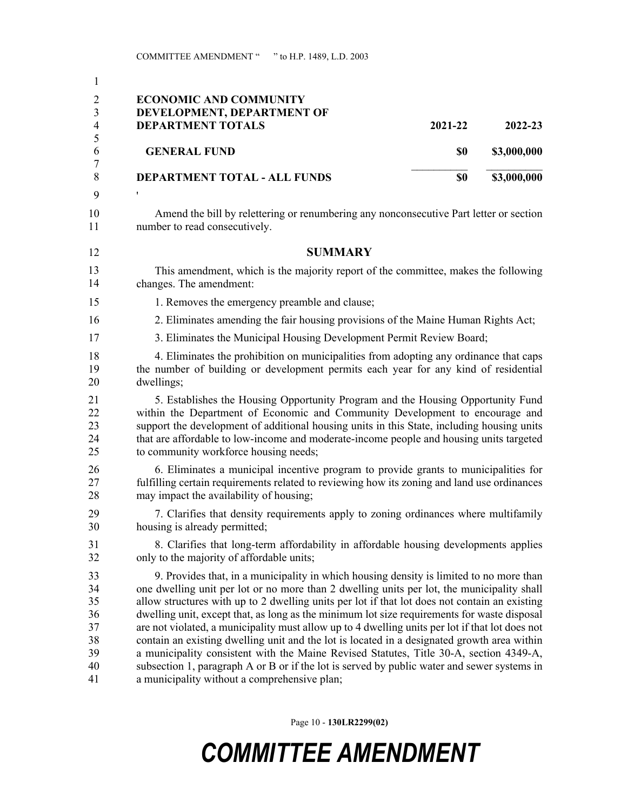| 1                                                  |                                                                                                                                                                                                                                                                                                                                                                                                                                                                                                                                                                                                                                                                                                                                                                                                                                  |         |             |
|----------------------------------------------------|----------------------------------------------------------------------------------------------------------------------------------------------------------------------------------------------------------------------------------------------------------------------------------------------------------------------------------------------------------------------------------------------------------------------------------------------------------------------------------------------------------------------------------------------------------------------------------------------------------------------------------------------------------------------------------------------------------------------------------------------------------------------------------------------------------------------------------|---------|-------------|
| $\overline{2}$<br>3                                | <b>ECONOMIC AND COMMUNITY</b><br>DEVELOPMENT, DEPARTMENT OF                                                                                                                                                                                                                                                                                                                                                                                                                                                                                                                                                                                                                                                                                                                                                                      |         |             |
| $\overline{4}$                                     | <b>DEPARTMENT TOTALS</b>                                                                                                                                                                                                                                                                                                                                                                                                                                                                                                                                                                                                                                                                                                                                                                                                         | 2021-22 | 2022-23     |
| 5<br>6<br>$\boldsymbol{7}$                         | <b>GENERAL FUND</b>                                                                                                                                                                                                                                                                                                                                                                                                                                                                                                                                                                                                                                                                                                                                                                                                              | \$0     | \$3,000,000 |
| 8                                                  | DEPARTMENT TOTAL - ALL FUNDS                                                                                                                                                                                                                                                                                                                                                                                                                                                                                                                                                                                                                                                                                                                                                                                                     | \$0     | \$3,000,000 |
| 9                                                  |                                                                                                                                                                                                                                                                                                                                                                                                                                                                                                                                                                                                                                                                                                                                                                                                                                  |         |             |
| 10<br>11                                           | Amend the bill by relettering or renumbering any nonconsecutive Part letter or section<br>number to read consecutively.                                                                                                                                                                                                                                                                                                                                                                                                                                                                                                                                                                                                                                                                                                          |         |             |
| 12                                                 | <b>SUMMARY</b>                                                                                                                                                                                                                                                                                                                                                                                                                                                                                                                                                                                                                                                                                                                                                                                                                   |         |             |
| 13<br>14                                           | This amendment, which is the majority report of the committee, makes the following<br>changes. The amendment:                                                                                                                                                                                                                                                                                                                                                                                                                                                                                                                                                                                                                                                                                                                    |         |             |
| 15                                                 | 1. Removes the emergency preamble and clause;                                                                                                                                                                                                                                                                                                                                                                                                                                                                                                                                                                                                                                                                                                                                                                                    |         |             |
| 16                                                 | 2. Eliminates amending the fair housing provisions of the Maine Human Rights Act;                                                                                                                                                                                                                                                                                                                                                                                                                                                                                                                                                                                                                                                                                                                                                |         |             |
| 17                                                 | 3. Eliminates the Municipal Housing Development Permit Review Board;                                                                                                                                                                                                                                                                                                                                                                                                                                                                                                                                                                                                                                                                                                                                                             |         |             |
| 18<br>19<br>20                                     | 4. Eliminates the prohibition on municipalities from adopting any ordinance that caps<br>the number of building or development permits each year for any kind of residential<br>dwellings;                                                                                                                                                                                                                                                                                                                                                                                                                                                                                                                                                                                                                                       |         |             |
| 21<br>22<br>23<br>24<br>25                         | 5. Establishes the Housing Opportunity Program and the Housing Opportunity Fund<br>within the Department of Economic and Community Development to encourage and<br>support the development of additional housing units in this State, including housing units<br>that are affordable to low-income and moderate-income people and housing units targeted<br>to community workforce housing needs;                                                                                                                                                                                                                                                                                                                                                                                                                                |         |             |
| 26<br>27<br>28                                     | 6. Eliminates a municipal incentive program to provide grants to municipalities for<br>fulfilling certain requirements related to reviewing how its zoning and land use ordinances<br>may impact the availability of housing;                                                                                                                                                                                                                                                                                                                                                                                                                                                                                                                                                                                                    |         |             |
| 29<br>30                                           | 7. Clarifies that density requirements apply to zoning ordinances where multifamily<br>housing is already permitted;                                                                                                                                                                                                                                                                                                                                                                                                                                                                                                                                                                                                                                                                                                             |         |             |
| 31<br>32                                           | 8. Clarifies that long-term affordability in affordable housing developments applies<br>only to the majority of affordable units;                                                                                                                                                                                                                                                                                                                                                                                                                                                                                                                                                                                                                                                                                                |         |             |
| 33<br>34<br>35<br>36<br>37<br>38<br>39<br>40<br>41 | 9. Provides that, in a municipality in which housing density is limited to no more than<br>one dwelling unit per lot or no more than 2 dwelling units per lot, the municipality shall<br>allow structures with up to 2 dwelling units per lot if that lot does not contain an existing<br>dwelling unit, except that, as long as the minimum lot size requirements for waste disposal<br>are not violated, a municipality must allow up to 4 dwelling units per lot if that lot does not<br>contain an existing dwelling unit and the lot is located in a designated growth area within<br>a municipality consistent with the Maine Revised Statutes, Title 30-A, section 4349-A,<br>subsection 1, paragraph A or B or if the lot is served by public water and sewer systems in<br>a municipality without a comprehensive plan; |         |             |

Page 10 - **130LR2299(02)**